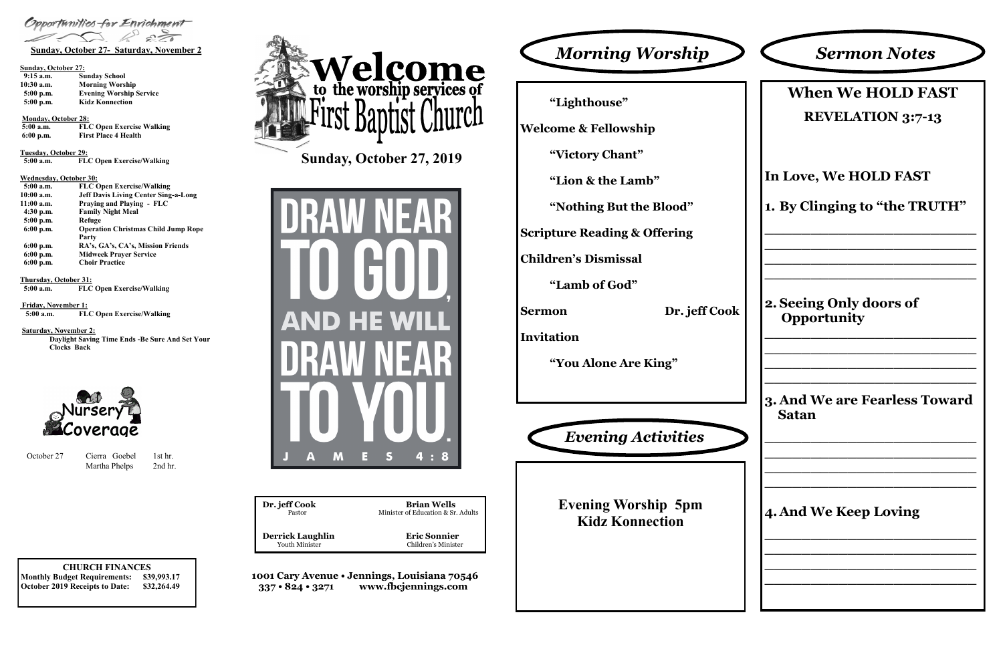#### **CHURCH FINANCES Monthly Budget Requirements: \$39,993.17**

**October 2019 Receipts to Date: \$32,264.49**

| Dr. jeff Cook           | <b>Brian Wells</b>                 |
|-------------------------|------------------------------------|
| Pastor                  | Minister of Education & Sr. Adults |
| <b>Derrick Laughlin</b> | <b>Eric Sonnier</b>                |
| <b>Youth Minister</b>   | Children's Minister                |

**1001 Cary Avenue • Jennings, Louisiana 70546 337 • 824 • 3271 www.fbcjennings.com**

**Sunday, October 27, 2019**







### **Sunday, October 27:**

| $9:15$ a.m. | <b>Sunday School</b>           |
|-------------|--------------------------------|
| 10:30 a.m.  | <b>Morning Worship</b>         |
| $5:00$ p.m. | <b>Evening Worship Service</b> |
| $5:00$ p.m. | <b>Kidz Konnection</b>         |

#### **Monday, October 28:**

**5:00 a.m. FLC Open Exercise Walking 6:00 p.m. First Place 4 Health**

**Tuesday, October 29:**

 **5:00 a.m. FLC Open Exercise/Walking**

### **Wednesday, October 30:**

| $5:00$ a.m. | <b>FLC Open Exercise/Walking</b>            |
|-------------|---------------------------------------------|
| 10:00 a.m.  | <b>Jeff Davis Living Center Sing-a-Long</b> |
| 11:00 a.m.  | Praying and Playing - FLC                   |
| $4:30$ p.m. | <b>Family Night Meal</b>                    |
| 5:00 p.m.   | Refuge                                      |
| $6:00$ p.m. | <b>Operation Christmas Child Jump Rope</b>  |
|             | Party                                       |
| $6:00$ p.m. | RA's, GA's, CA's, Mission Friends           |
| $6:00$ p.m. | <b>Midweek Prayer Service</b>               |
| $6:00$ p.m. | <b>Choir Practice</b>                       |

**Thursday, October 31:**

October 27 Cierra Goebel 1st hr. Martha Phelps 2nd hr.

 **5:00 a.m. FLC Open Exercise/Walking**

**Friday, November 1:**

 **5:00 a.m. FLC Open Exercise/Walking**

#### **Saturday, November 2:**

**Daylight Saving Time Ends -Be Sure And Set Your Clocks Back** 



**"Lighthouse" Welcome & Fellowship "Victory Chant" "Lion & the Lamb"**

**"Nothing But the Blood"**

**Scripture Reading & Offering**

**Children's Dismissal**

**"Lamb of God"**

**Sermon Dr. jeff Cook**

**Invitation**

**"You Alone Are King"**

# **When We HOLD FAST REVELATION 3:7-13**

# **In Love, We HOLD FAST**

**1. By Clinging to "the TRUTH"**

**\_\_\_\_\_\_\_\_\_\_\_\_\_\_\_\_\_\_\_\_\_\_\_ \_\_\_\_\_\_\_\_\_\_\_\_\_\_\_\_\_\_\_\_\_\_\_ \_\_\_\_\_\_\_\_\_\_\_\_\_\_\_\_\_\_\_\_\_\_\_ \_\_\_\_\_\_\_\_\_\_\_\_\_\_\_\_\_\_\_\_\_\_\_**

**2. Seeing Only doors of Opportunity** 

**\_\_\_\_\_\_\_\_\_\_\_\_\_\_\_\_\_\_\_\_\_\_\_ \_\_\_\_\_\_\_\_\_\_\_\_\_\_\_\_\_\_\_\_\_\_\_ \_\_\_\_\_\_\_\_\_\_\_\_\_\_\_\_\_\_\_\_\_\_\_ \_\_\_\_\_\_\_\_\_\_\_\_\_\_\_\_\_\_\_\_\_\_\_**

# **3. And We are Fearless Toward Satan**

**\_\_\_\_\_\_\_\_\_\_\_\_\_\_\_\_\_\_\_\_\_\_\_ \_\_\_\_\_\_\_\_\_\_\_\_\_\_\_\_\_\_\_\_\_\_\_ \_\_\_\_\_\_\_\_\_\_\_\_\_\_\_\_\_\_\_\_\_\_\_ \_\_\_\_\_\_\_\_\_\_\_\_\_\_\_\_\_\_\_\_\_\_\_**

# **4. And We Keep Loving**

**\_\_\_\_\_\_\_\_\_\_\_\_\_\_\_\_\_\_\_\_\_\_\_ \_\_\_\_\_\_\_\_\_\_\_\_\_\_\_\_\_\_\_\_\_\_\_ \_\_\_\_\_\_\_\_\_\_\_\_\_\_\_\_\_\_\_\_\_\_\_ \_\_\_\_\_\_\_\_\_\_\_\_\_\_\_\_\_\_\_\_\_\_\_**

# *Sermon Notes*

**Evening Worship 5pm Kidz Konnection**